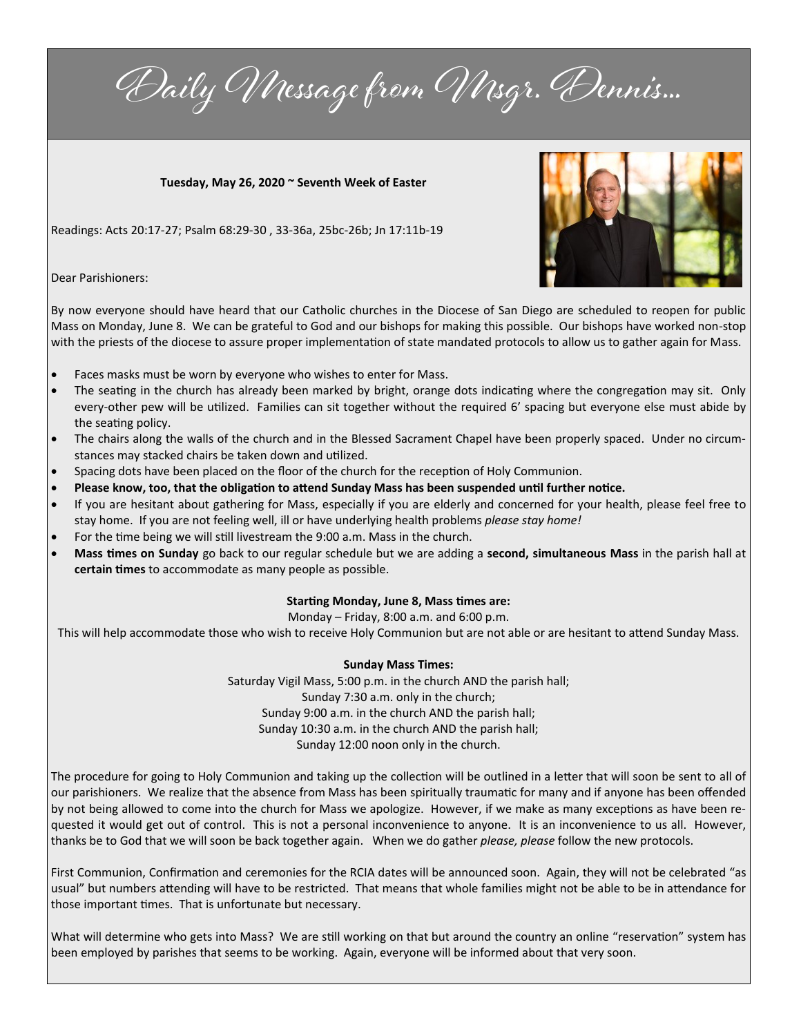Daily Message from Msgr. Dennis...

**Tuesday, May 26, 2020 ~ Seventh Week of Easter**

Readings: Acts 20:17-27; Psalm 68:29-30 , 33-36a, 25bc-26b; Jn 17:11b-19



Dear Parishioners:

By now everyone should have heard that our Catholic churches in the Diocese of San Diego are scheduled to reopen for public Mass on Monday, June 8. We can be grateful to God and our bishops for making this possible. Our bishops have worked non-stop with the priests of the diocese to assure proper implementation of state mandated protocols to allow us to gather again for Mass.

- Faces masks must be worn by everyone who wishes to enter for Mass.
- The seating in the church has already been marked by bright, orange dots indicating where the congregation may sit. Only every-other pew will be utilized. Families can sit together without the required 6' spacing but everyone else must abide by the seating policy.
- The chairs along the walls of the church and in the Blessed Sacrament Chapel have been properly spaced. Under no circumstances may stacked chairs be taken down and utilized.
- Spacing dots have been placed on the floor of the church for the reception of Holy Communion.
- **Please know, too, that the obligation to attend Sunday Mass has been suspended until further notice.**
- If you are hesitant about gathering for Mass, especially if you are elderly and concerned for your health, please feel free to stay home. If you are not feeling well, ill or have underlying health problems *please stay home!*
- For the time being we will still livestream the 9:00 a.m. Mass in the church.
- **Mass times on Sunday** go back to our regular schedule but we are adding a **second, simultaneous Mass** in the parish hall at **certain times** to accommodate as many people as possible.

## **Starting Monday, June 8, Mass times are:**

Monday – Friday, 8:00 a.m. and 6:00 p.m.

This will help accommodate those who wish to receive Holy Communion but are not able or are hesitant to attend Sunday Mass.

## **Sunday Mass Times:**

Saturday Vigil Mass, 5:00 p.m. in the church AND the parish hall; Sunday 7:30 a.m. only in the church; Sunday 9:00 a.m. in the church AND the parish hall; Sunday 10:30 a.m. in the church AND the parish hall; Sunday 12:00 noon only in the church.

The procedure for going to Holy Communion and taking up the collection will be outlined in a letter that will soon be sent to all of our parishioners. We realize that the absence from Mass has been spiritually traumatic for many and if anyone has been offended by not being allowed to come into the church for Mass we apologize. However, if we make as many exceptions as have been requested it would get out of control. This is not a personal inconvenience to anyone. It is an inconvenience to us all. However, thanks be to God that we will soon be back together again. When we do gather *please, please* follow the new protocols.

First Communion, Confirmation and ceremonies for the RCIA dates will be announced soon. Again, they will not be celebrated "as usual" but numbers attending will have to be restricted. That means that whole families might not be able to be in attendance for those important times. That is unfortunate but necessary.

What will determine who gets into Mass? We are still working on that but around the country an online "reservation" system has been employed by parishes that seems to be working. Again, everyone will be informed about that very soon.